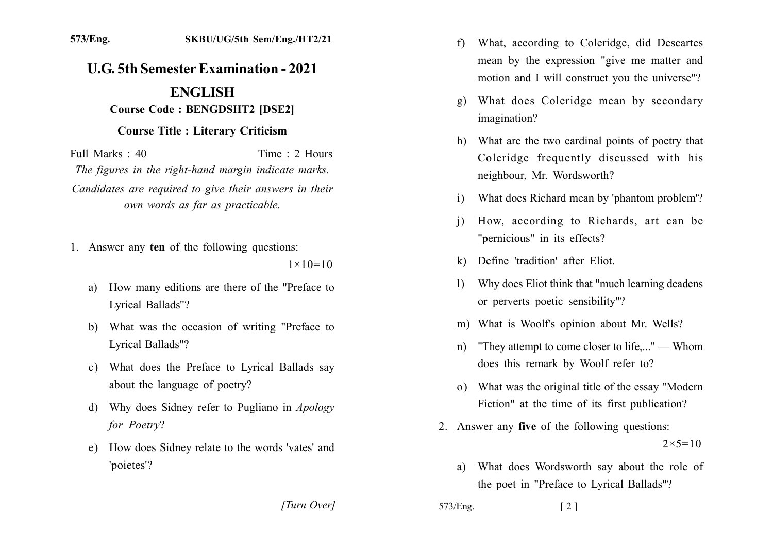## **U.G. 5th Semester Examination - 2021 ENGLISH**

## **Course Code: BENGDSHT2 IDSE21**

## **Course Title : Literary Criticism**

Time  $\cdot$  2 Hours Full Marks  $\cdot$  40 The figures in the right-hand margin indicate marks. Candidates are required to give their answers in their own words as far as practicable.

1. Answer any ten of the following questions:

 $1 \times 10 = 10$ 

[Turn Over]

- How many editions are there of the "Preface to a) Lyrical Ballads"?
- b) What was the occasion of writing "Preface to Lyrical Ballads"?
- c) What does the Preface to Lyrical Ballads say about the language of poetry?
- d) Why does Sidney refer to Pugliano in Apology for Poetry?
- e) How does Sidney relate to the words 'vates' and 'poietes'?
- What, according to Coleridge, did Descartes  $f$ mean by the expression "give me matter and motion and I will construct you the universe"?
- What does Coleridge mean by secondary  $g)$ imagination?
- h) What are the two cardinal points of poetry that Coleridge frequently discussed with his neighbour, Mr. Wordsworth?
- What does Richard mean by 'phantom problem'?  $\mathbf{i}$
- How, according to Richards, art can be  $\overline{1}$ "pernicious" in its effects?
- k) Define 'tradition' after Eliot.
- Why does Eliot think that "much learning deadens"  $\mathbf{D}$ or perverts poetic sensibility"?
- m) What is Woolf's opinion about Mr. Wells?
- "They attempt to come closer to life...." Whom  $n)$ does this remark by Woolf refer to?
- o) What was the original title of the essay "Modern" Fiction" at the time of its first publication?
- 2. Answer any **five** of the following questions:  $2 \times 5 = 10$ 
	- What does Wordsworth say about the role of a) the poet in "Preface to Lyrical Ballads"?

573/Eng.

573/Eng.